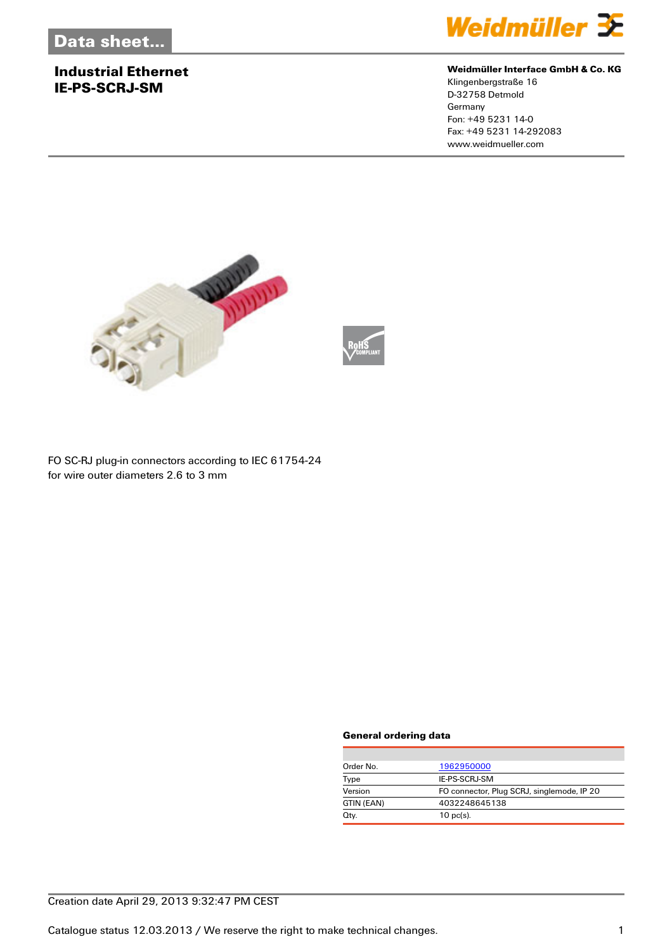# **Industrial Ethernet IE-PS-SCRJ-SM**



#### **Weidmüller Interface GmbH & Co. KG**

Klingenbergstraße 16 D-32758 Detmold Germany Fon: +49 5231 14-0 Fax: +49 5231 14-292083 www.weidmueller.com





FO SC-RJ plug-in connectors according to IEC 61754-24 for wire outer diameters 2.6 to 3 mm

#### **General ordering data**

| Order No.  | 1962950000                                 |
|------------|--------------------------------------------|
| Type       | IE-PS-SCRJ-SM                              |
| Version    | FO connector, Plug SCRJ, singlemode, IP 20 |
| GTIN (EAN) | 4032248645138                              |
| Qty.       | $10 \text{ pc(s)}$ .                       |